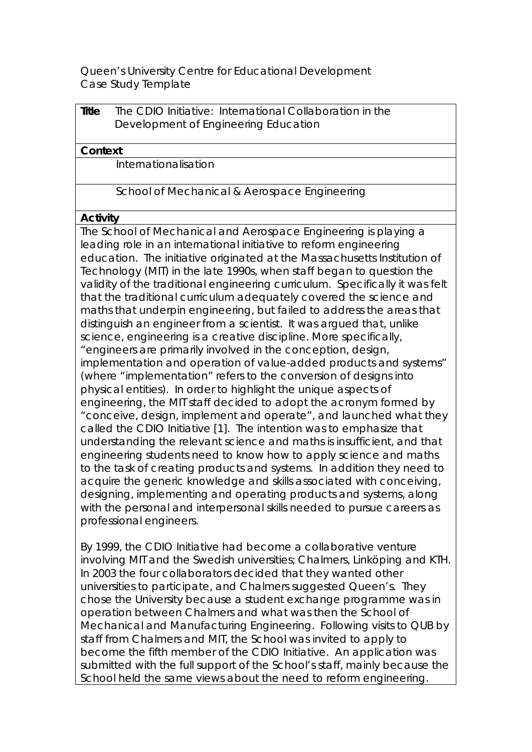Queen's University Centre for Educational Development Case Study Template

| Title | The CDIO Initiative: International Collaboration in the |
|-------|---------------------------------------------------------|
|       | Development of Engineering Education                    |

#### **Context**

Internationalisation

School of Mechanical & Aerospace Engineering

#### **Activity**

The School of Mechanical and Aerospace Engineering is playing a leading role in an international initiative to reform engineering education. The initiative originated at the Massachusetts Institution of Technology (MIT) in the late 1990s, when staff began to question the validity of the traditional engineering curriculum. Specifically it was felt that the traditional curriculum adequately covered the science and maths that underpin engineering, but failed to address the areas that distinguish an engineer from a scientist. It was argued that, unlike science, engineering is a creative discipline. More specifically, "engineers are primarily involved in the conception, design, implementation and operation of value-added products and systems" (where "implementation" refers to the conversion of designs into physical entities). In order to highlight the unique aspects of engineering, the MIT staff decided to adopt the acronym formed by "conceive, design, implement and operate", and launched what they called the CDIO Initiative [1]. The intention was to emphasize that understanding the relevant science and maths is insufficient, and that engineering students need to know how to apply science and maths to the task of creating products and systems. In addition they need to acquire the generic knowledge and skills associated with conceiving, designing, implementing and operating products and systems, along with the personal and interpersonal skills needed to pursue careers as professional engineers.

By 1999, the CDIO Initiative had become a collaborative venture involving MIT and the Swedish universities; Chalmers, Linköping and KTH. In 2003 the four collaborators decided that they wanted other universities to participate, and Chalmers suggested Queen's. They chose the University because a student exchange programme was in operation between Chalmers and what was then the School of Mechanical and Manufacturing Engineering. Following visits to QUB by staff from Chalmers and MIT, the School was invited to apply to become the fifth member of the CDIO Initiative. An application was submitted with the full support of the School's staff, mainly because the School held the same views about the need to reform engineering.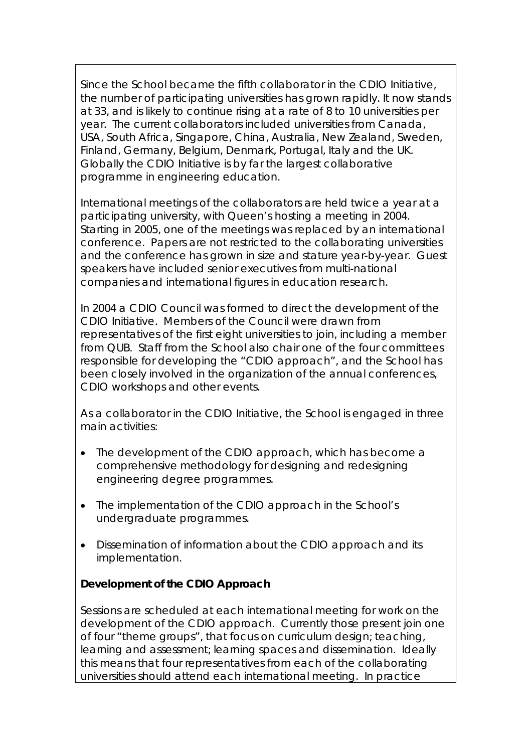Since the School became the fifth collaborator in the CDIO Initiative, the number of participating universities has grown rapidly. It now stands at 33, and is likely to continue rising at a rate of 8 to 10 universities per year. The current collaborators included universities from Canada, USA, South Africa, Singapore, China, Australia, New Zealand, Sweden, Finland, Germany, Belgium, Denmark, Portugal, Italy and the UK. Globally the CDIO Initiative is by far the largest collaborative programme in engineering education.

International meetings of the collaborators are held twice a year at a participating university, with Queen's hosting a meeting in 2004. Starting in 2005, one of the meetings was replaced by an international conference. Papers are not restricted to the collaborating universities and the conference has grown in size and stature year-by-year. Guest speakers have included senior executives from multi-national companies and international figures in education research.

In 2004 a CDIO Council was formed to direct the development of the CDIO Initiative. Members of the Council were drawn from representatives of the first eight universities to join, including a member from QUB. Staff from the School also chair one of the four committees responsible for developing the "CDIO approach", and the School has been closely involved in the organization of the annual conferences, CDIO workshops and other events.

As a collaborator in the CDIO Initiative, the School is engaged in three main activities:

- The development of the CDIO approach, which has become a comprehensive methodology for designing and redesigning engineering degree programmes.
- The implementation of the CDIO approach in the School's undergraduate programmes.
- Dissemination of information about the CDIO approach and its implementation.

# **Development of the CDIO Approach**

Sessions are scheduled at each international meeting for work on the development of the CDIO approach. Currently those present join one of four "theme groups", that focus on curriculum design; teaching, learning and assessment; learning spaces and dissemination. Ideally this means that four representatives from each of the collaborating universities should attend each international meeting. In practice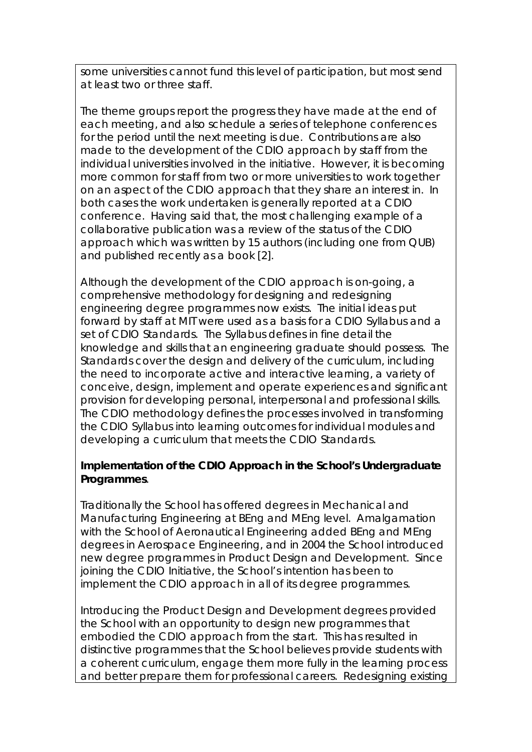some universities cannot fund this level of participation, but most send at least two or three staff.

The theme groups report the progress they have made at the end of each meeting, and also schedule a series of telephone conferences for the period until the next meeting is due. Contributions are also made to the development of the CDIO approach by staff from the individual universities involved in the initiative. However, it is becoming more common for staff from two or more universities to work together on an aspect of the CDIO approach that they share an interest in. In both cases the work undertaken is generally reported at a CDIO conference. Having said that, the most challenging example of a collaborative publication was a review of the status of the CDIO approach which was written by 15 authors (including one from QUB) and published recently as a book [2].

Although the development of the CDIO approach is on-going, a comprehensive methodology for designing and redesigning engineering degree programmes now exists. The initial ideas put forward by staff at MIT were used as a basis for a CDIO Syllabus and a set of CDIO Standards. The Syllabus defines in fine detail the knowledge and skills that an engineering graduate should possess. The Standards cover the design and delivery of the curriculum, including the need to incorporate active and interactive learning, a variety of conceive, design, implement and operate experiences and significant provision for developing personal, interpersonal and professional skills. The CDIO methodology defines the processes involved in transforming the CDIO Syllabus into learning outcomes for individual modules and developing a curriculum that meets the CDIO Standards.

# **Implementation of the CDIO Approach in the School's Undergraduate Programmes**.

Traditionally the School has offered degrees in Mechanical and Manufacturing Engineering at BEng and MEng level. Amalgamation with the School of Aeronautical Engineering added BEng and MEng degrees in Aerospace Engineering, and in 2004 the School introduced new degree programmes in Product Design and Development. Since joining the CDIO Initiative, the School's intention has been to implement the CDIO approach in all of its degree programmes.

Introducing the Product Design and Development degrees provided the School with an opportunity to design new programmes that embodied the CDIO approach from the start. This has resulted in distinctive programmes that the School believes provide students with a coherent curriculum, engage them more fully in the learning process and better prepare them for professional careers. Redesigning existing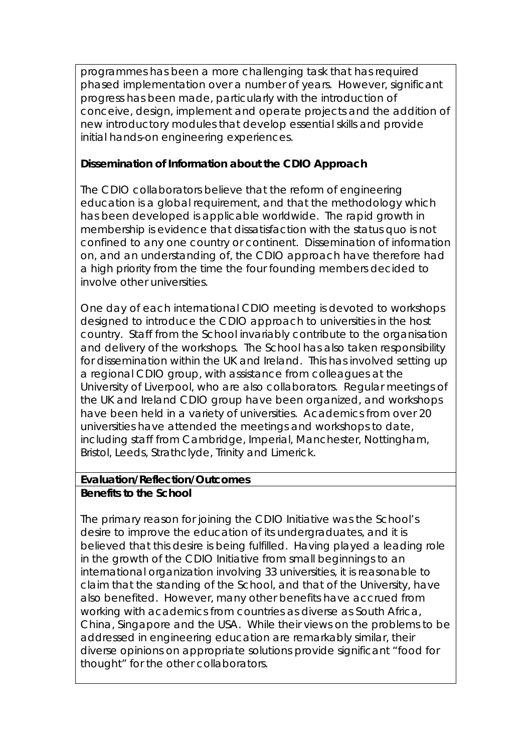programmes has been a more challenging task that has required phased implementation over a number of years. However, significant progress has been made, particularly with the introduction of conceive, design, implement and operate projects and the addition of new introductory modules that develop essential skills and provide initial hands-on engineering experiences.

#### **Dissemination of Information about the CDIO Approach**

The CDIO collaborators believe that the reform of engineering education is a global requirement, and that the methodology which has been developed is applicable worldwide. The rapid growth in membership is evidence that dissatisfaction with the status quo is not confined to any one country or continent. Dissemination of information on, and an understanding of, the CDIO approach have therefore had a high priority from the time the four founding members decided to involve other universities.

One day of each international CDIO meeting is devoted to workshops designed to introduce the CDIO approach to universities in the host country. Staff from the School invariably contribute to the organisation and delivery of the workshops. The School has also taken responsibility for dissemination within the UK and Ireland. This has involved setting up a regional CDIO group, with assistance from colleagues at the University of Liverpool, who are also collaborators. Regular meetings of the UK and Ireland CDIO group have been organized, and workshops have been held in a variety of universities. Academics from over 20 universities have attended the meetings and workshops to date, including staff from Cambridge, Imperial, Manchester, Nottingham, Bristol, Leeds, Strathclyde, Trinity and Limerick.

# **Evaluation/Reflection/Outcomes Benefits to the School**

The primary reason for joining the CDIO Initiative was the School's desire to improve the education of its undergraduates, and it is believed that this desire is being fulfilled. Having played a leading role in the growth of the CDIO Initiative from small beginnings to an international organization involving 33 universities, it is reasonable to claim that the standing of the School, and that of the University, have also benefited. However, many other benefits have accrued from working with academics from countries as diverse as South Africa, China, Singapore and the USA. While their views on the problems to be addressed in engineering education are remarkably similar, their diverse opinions on appropriate solutions provide significant "food for thought" for the other collaborators.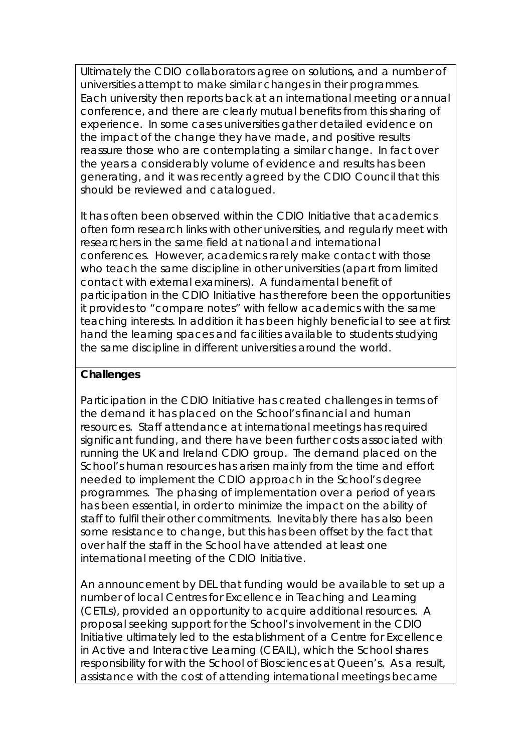Ultimately the CDIO collaborators agree on solutions, and a number of universities attempt to make similar changes in their programmes. Each university then reports back at an international meeting or annual conference, and there are clearly mutual benefits from this sharing of experience. In some cases universities gather detailed evidence on the impact of the change they have made, and positive results reassure those who are contemplating a similar change. In fact over the years a considerably volume of evidence and results has been generating, and it was recently agreed by the CDIO Council that this should be reviewed and catalogued.

It has often been observed within the CDIO Initiative that academics often form research links with other universities, and regularly meet with researchers in the same field at national and international conferences. However, academics rarely make contact with those who teach the same discipline in other universities (apart from limited contact with external examiners). A fundamental benefit of participation in the CDIO Initiative has therefore been the opportunities it provides to "compare notes" with fellow academics with the same teaching interests. In addition it has been highly beneficial to see at first hand the learning spaces and facilities available to students studying the same discipline in different universities around the world.

#### **Challenges**

Participation in the CDIO Initiative has created challenges in terms of the demand it has placed on the School's financial and human resources. Staff attendance at international meetings has required significant funding, and there have been further costs associated with running the UK and Ireland CDIO group. The demand placed on the School's human resources has arisen mainly from the time and effort needed to implement the CDIO approach in the School's degree programmes. The phasing of implementation over a period of years has been essential, in order to minimize the impact on the ability of staff to fulfil their other commitments. Inevitably there has also been some resistance to change, but this has been offset by the fact that over half the staff in the School have attended at least one international meeting of the CDIO Initiative.

An announcement by DEL that funding would be available to set up a number of local Centres for Excellence in Teaching and Learning (CETLs), provided an opportunity to acquire additional resources. A proposal seeking support for the School's involvement in the CDIO Initiative ultimately led to the establishment of a Centre for Excellence in Active and Interactive Learning (CEAIL), which the School shares responsibility for with the School of Biosciences at Queen's. As a result, assistance with the cost of attending international meetings became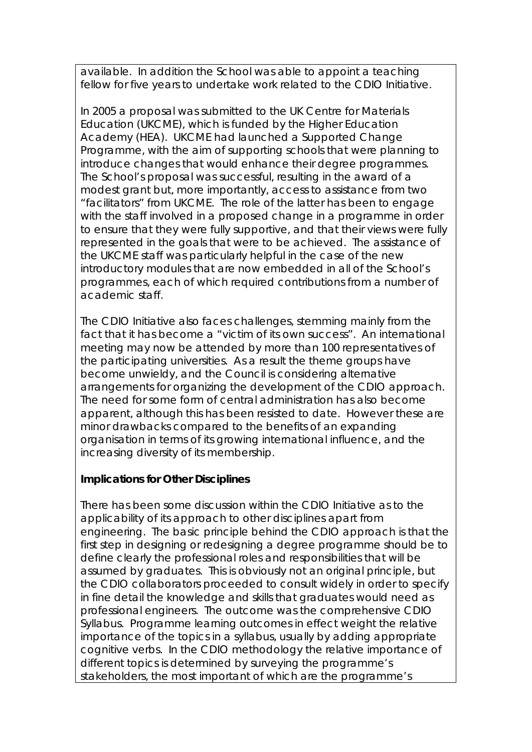available. In addition the School was able to appoint a teaching fellow for five years to undertake work related to the CDIO Initiative.

In 2005 a proposal was submitted to the UK Centre for Materials Education (UKCME), which is funded by the Higher Education Academy (HEA). UKCME had launched a Supported Change Programme, with the aim of supporting schools that were planning to introduce changes that would enhance their degree programmes. The School's proposal was successful, resulting in the award of a modest grant but, more importantly, access to assistance from two "facilitators" from UKCME. The role of the latter has been to engage with the staff involved in a proposed change in a programme in order to ensure that they were fully supportive, and that their views were fully represented in the goals that were to be achieved. The assistance of the UKCME staff was particularly helpful in the case of the new introductory modules that are now embedded in all of the School's programmes, each of which required contributions from a number of academic staff.

The CDIO Initiative also faces challenges, stemming mainly from the fact that it has become a "victim of its own success". An international meeting may now be attended by more than 100 representatives of the participating universities. As a result the theme groups have become unwieldy, and the Council is considering alternative arrangements for organizing the development of the CDIO approach. The need for some form of central administration has also become apparent, although this has been resisted to date. However these are minor drawbacks compared to the benefits of an expanding organisation in terms of its growing international influence, and the increasing diversity of its membership.

# **Implications for Other Disciplines**

There has been some discussion within the CDIO Initiative as to the applicability of its approach to other disciplines apart from engineering. The basic principle behind the CDIO approach is that the first step in designing or redesigning a degree programme should be to define clearly the professional roles and responsibilities that will be assumed by graduates. This is obviously not an original principle, but the CDIO collaborators proceeded to consult widely in order to specify in fine detail the knowledge and skills that graduates would need as professional engineers. The outcome was the comprehensive CDIO Syllabus. Programme learning outcomes in effect weight the relative importance of the topics in a syllabus, usually by adding appropriate cognitive verbs. In the CDIO methodology the relative importance of different topics is determined by surveying the programme's stakeholders, the most important of which are the programme's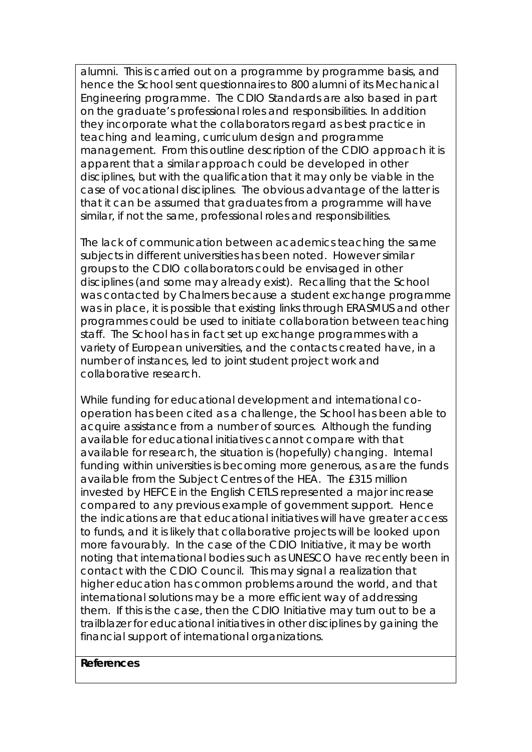alumni. This is carried out on a programme by programme basis, and hence the School sent questionnaires to 800 alumni of its Mechanical Engineering programme. The CDIO Standards are also based in part on the graduate's professional roles and responsibilities. In addition they incorporate what the collaborators regard as best practice in teaching and learning, curriculum design and programme management. From this outline description of the CDIO approach it is apparent that a similar approach could be developed in other disciplines, but with the qualification that it may only be viable in the case of vocational disciplines. The obvious advantage of the latter is that it can be assumed that graduates from a programme will have similar, if not the same, professional roles and responsibilities.

The lack of communication between academics teaching the same subjects in different universities has been noted. However similar groups to the CDIO collaborators could be envisaged in other disciplines (and some may already exist). Recalling that the School was contacted by Chalmers because a student exchange programme was in place, it is possible that existing links through ERASMUS and other programmes could be used to initiate collaboration between teaching staff. The School has in fact set up exchange programmes with a variety of European universities, and the contacts created have, in a number of instances, led to joint student project work and collaborative research.

While funding for educational development and international cooperation has been cited as a challenge, the School has been able to acquire assistance from a number of sources. Although the funding available for educational initiatives cannot compare with that available for research, the situation is (hopefully) changing. Internal funding within universities is becoming more generous, as are the funds available from the Subject Centres of the HEA. The £315 million invested by HEFCE in the English CETLS represented a major increase compared to any previous example of government support. Hence the indications are that educational initiatives will have greater access to funds, and it is likely that collaborative projects will be looked upon more favourably. In the case of the CDIO Initiative, it may be worth noting that international bodies such as UNESCO have recently been in contact with the CDIO Council. This may signal a realization that higher education has common problems around the world, and that international solutions may be a more efficient way of addressing them. If this is the case, then the CDIO Initiative may turn out to be a trailblazer for educational initiatives in other disciplines by gaining the financial support of international organizations.

#### **References**